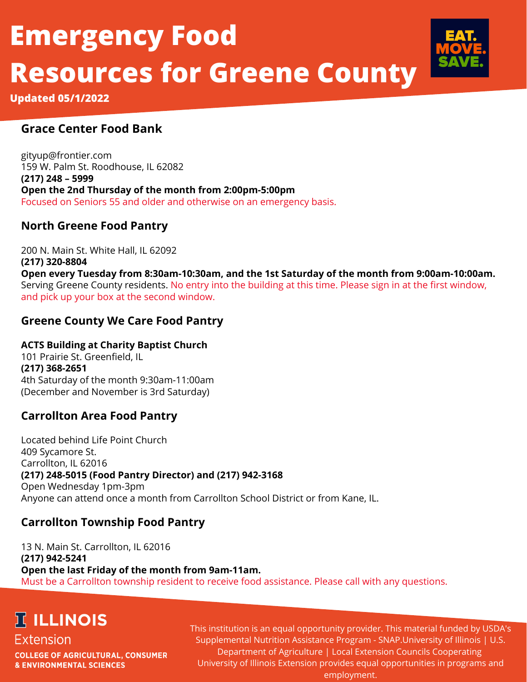# **Emergency Food Resources for Greene County**



**Updated 05/1/2022**

#### **Grace Center Food Bank**

gityup@frontier.com 159 W. Palm St. Roodhouse, IL 62082 **(217) 248 – 5999 Open the 2nd Thursday of the month from 2:00pm-5:00pm** Focused on Seniors 55 and older and otherwise on an emergency basis.

#### **North Greene Food Pantry**

200 N. Main St. White Hall, IL 62092 **(217) 320-8804 Open every Tuesday from 8:30am-10:30am, and the 1st Saturday of the month from 9:00am-10:00am.** Serving Greene County residents. No entry into the building at this time. Please sign in at the first window, and pick up your box at the second window.

#### **Greene County We Care Food Pantry**

#### **ACTS Building at Charity Baptist Church**

101 Prairie St. Greenfield, IL **(217) 368-2651** 4th Saturday of the month 9:30am-11:00am (December and November is 3rd Saturday)

#### **Carrollton Area Food Pantry**

Located behind Life Point Church 409 Sycamore St. Carrollton, IL 62016 **(217) 248-5015 (Food Pantry Director) and (217) 942-3168** Open Wednesday 1pm-3pm Anyone can attend once a month from Carrollton School District or from Kane, IL.

### **Carrollton Township Food Pantry**

13 N. Main St. Carrollton, IL 62016 **(217) 942-5241 Open the last Friday of the month from 9am-11am.** Must be a Carrollton township resident to receive food assistance. Please call with any questions.

## **TELLINOIS**

#### Extension

**COLLEGE OF AGRICULTURAL, CONSUMER & ENVIRONMENTAL SCIENCES** 

This institution is an equal opportunity provider. This material funded by USDA's Supplemental Nutrition Assistance Program - SNAP.University of Illinois | U.S. Department of Agriculture | Local Extension Councils Cooperating University of Illinois Extension provides equal opportunities in programs and employment.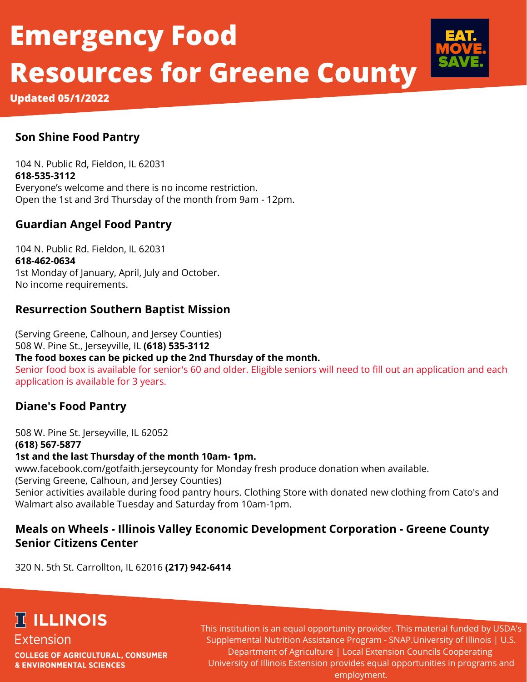# **Emergency Food Resources for Greene County**



**Updated 05/1/2022**

#### **Son Shine Food Pantry**

104 N. Public Rd, Fieldon, IL 62031 **618-535-3112** Everyone's welcome and there is no income restriction. Open the 1st and 3rd Thursday of the month from 9am - 12pm.

#### **Guardian Angel Food Pantry**

104 N. Public Rd. Fieldon, IL 62031 **618-462-0634** 1st Monday of January, April, July and October. No income requirements.

#### **Resurrection Southern Baptist Mission**

(Serving Greene, Calhoun, and Jersey Counties) 508 W. Pine St., Jerseyville, IL **(618) 535-3112 The food boxes can be picked up the 2nd Thursday of the month.** Senior food box is available for senior's 60 and older. Eligible seniors will need to fill out an application and each application is available for 3 years.

#### **Diane's Food Pantry**

508 W. Pine St. Jerseyville, IL 62052 **(618) 567-5877 1st and the last Thursday of the month 10am- 1pm.** www.facebook.com/gotfaith.jerseycounty for Monday fresh produce donation when available. (Serving Greene, Calhoun, and Jersey Counties) Senior activities available during food pantry hours. Clothing Store with donated new clothing from Cato's and Walmart also available Tuesday and Saturday from 10am-1pm.

#### **Meals on Wheels - Illinois Valley Economic Development Corporation - Greene County Senior Citizens Center**

320 N. 5th St. Carrollton, IL 62016 **(217) 942-6414**

## **TELLINOIS**

Extension **COLLEGE OF AGRICULTURAL, CONSUMER & ENVIRONMENTAL SCIENCES** 

This institution is an equal opportunity provider. This material funded by USDA's Supplemental Nutrition Assistance Program - SNAP.University of Illinois | U.S. Department of Agriculture | Local Extension Councils Cooperating University of Illinois Extension provides equal opportunities in programs and employment.